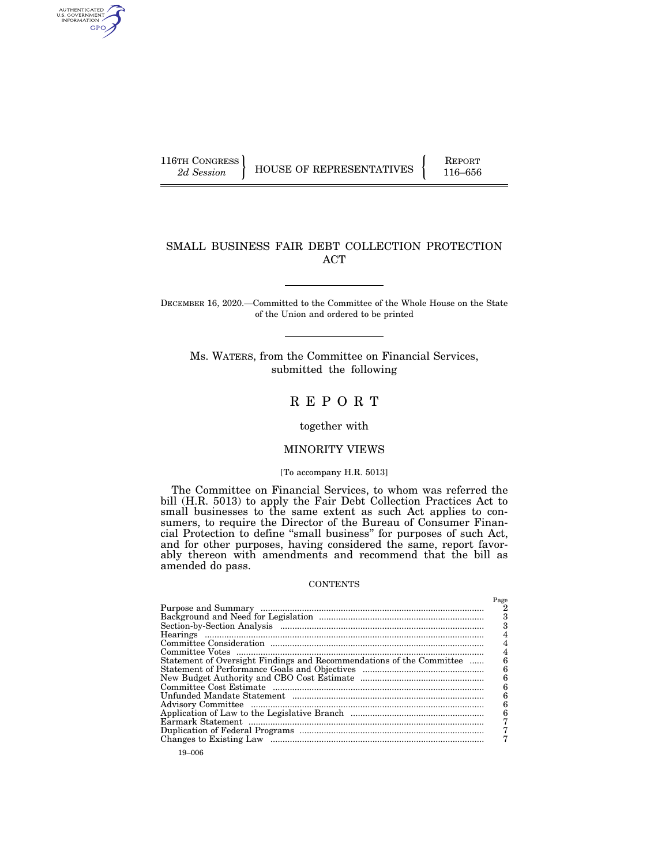AUTHENTICATED<br>U.S. GOVERNMENT<br>INFORMATION GPO

116TH CONGRESS HOUSE OF REPRESENTATIVES FEPORT 116–656

# SMALL BUSINESS FAIR DEBT COLLECTION PROTECTION ACT

DECEMBER 16, 2020.—Committed to the Committee of the Whole House on the State of the Union and ordered to be printed

Ms. WATERS, from the Committee on Financial Services, submitted the following

# R E P O R T

together with

# MINORITY VIEWS

#### [To accompany H.R. 5013]

The Committee on Financial Services, to whom was referred the bill (H.R. 5013) to apply the Fair Debt Collection Practices Act to small businesses to the same extent as such Act applies to consumers, to require the Director of the Bureau of Consumer Financial Protection to define ''small business'' for purposes of such Act, and for other purposes, having considered the same, report favorably thereon with amendments and recommend that the bill as amended do pass.

## **CONTENTS**

| Statement of Oversight Findings and Recommendations of the Committee | Page<br>з<br>З<br>6<br>6<br>6<br>6<br>6<br>6 |
|----------------------------------------------------------------------|----------------------------------------------|
|                                                                      | 6                                            |
|                                                                      |                                              |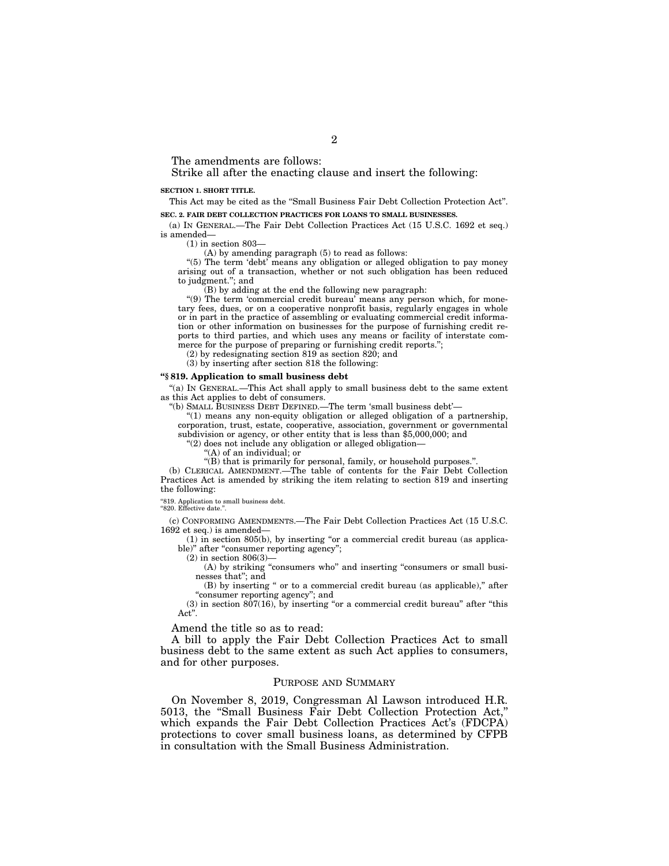The amendments are follows:

Strike all after the enacting clause and insert the following:

#### **SECTION 1. SHORT TITLE.**

This Act may be cited as the "Small Business Fair Debt Collection Protection Act". **SEC. 2. FAIR DEBT COLLECTION PRACTICES FOR LOANS TO SMALL BUSINESSES.** 

(a) IN GENERAL.—The Fair Debt Collection Practices Act (15 U.S.C. 1692 et seq.) is amended—

 $(1)$  in section 803–

(A) by amending paragraph (5) to read as follows:

"(5) The term 'debt' means any obligation or alleged obligation to pay money arising out of a transaction, whether or not such obligation has been reduced to judgment.''; and

(B) by adding at the end the following new paragraph:

"(9) The term 'commercial credit bureau' means any person which, for monetary fees, dues, or on a cooperative nonprofit basis, regularly engages in whole or in part in the practice of assembling or evaluating commercial credit information or other information on businesses for the purpose of furnishing credit reports to third parties, and which uses any means or facility of interstate commerce for the purpose of preparing or furnishing credit reports.";

(2) by redesignating section 819 as section 820; and

(3) by inserting after section 818 the following:

### **''§ 819. Application to small business debt**

''(a) IN GENERAL.—This Act shall apply to small business debt to the same extent as this Act applies to debt of consumers.

"(b) SMALL BUSINESS DEBT DEFINED.—The term 'small business debt'—

''(1) means any non-equity obligation or alleged obligation of a partnership, corporation, trust, estate, cooperative, association, government or governmental

subdivision or agency, or other entity that is less than \$5,000,000; and ''(2) does not include any obligation or alleged obligation—

''(A) of an individual; or

 $'(B)$  that is primarily for personal, family, or household purposes.

(b) CLERICAL AMENDMENT.—The table of contents for the Fair Debt Collection Practices Act is amended by striking the item relating to section 819 and inserting the following:

#### "819. Application to small business debt.

''820. Effective date.''.

(c) CONFORMING AMENDMENTS.—The Fair Debt Collection Practices Act (15 U.S.C. 1692 et seq.) is amended—

 $(1)$  in section 805(b), by inserting "or a commercial credit bureau (as applicable)" after "consumer reporting agency";

(2) in section 806(3)—

(A) by striking "consumers who" and inserting "consumers or small businesses that''; and

(B) by inserting " or to a commercial credit bureau (as applicable)," after ''consumer reporting agency''; and

 $(3)$  in section  $807(16)$ , by inserting "or a commercial credit bureau" after "this Act''.

Amend the title so as to read:

A bill to apply the Fair Debt Collection Practices Act to small business debt to the same extent as such Act applies to consumers, and for other purposes.

#### PURPOSE AND SUMMARY

On November 8, 2019, Congressman Al Lawson introduced H.R. 5013, the ''Small Business Fair Debt Collection Protection Act,'' which expands the Fair Debt Collection Practices Act's (FDCPA) protections to cover small business loans, as determined by CFPB in consultation with the Small Business Administration.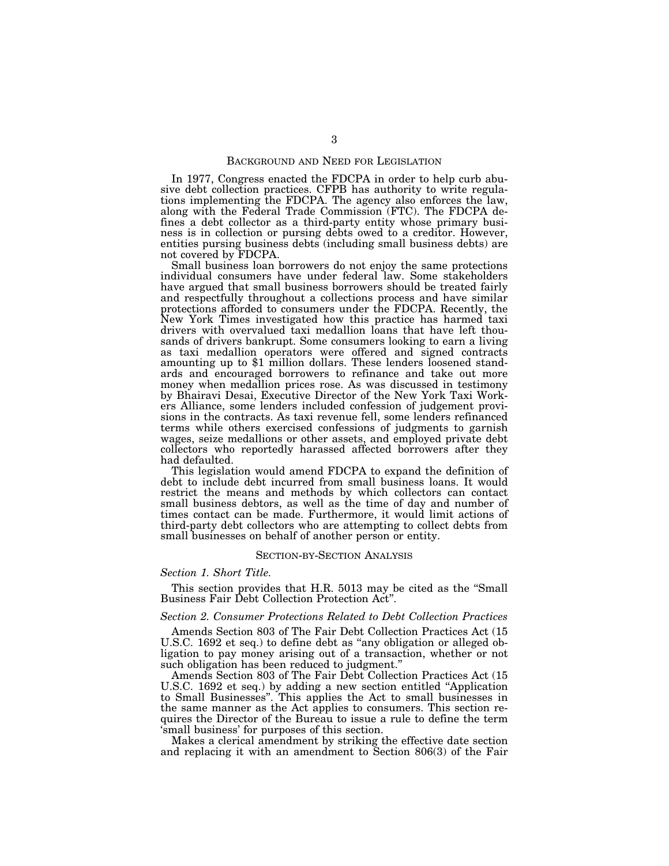#### BACKGROUND AND NEED FOR LEGISLATION

In 1977, Congress enacted the FDCPA in order to help curb abusive debt collection practices. CFPB has authority to write regulations implementing the FDCPA. The agency also enforces the law, along with the Federal Trade Commission (FTC). The FDCPA defines a debt collector as a third-party entity whose primary business is in collection or pursing debts owed to a creditor. However, entities pursing business debts (including small business debts) are not covered by FDCPA.

Small business loan borrowers do not enjoy the same protections individual consumers have under federal law. Some stakeholders have argued that small business borrowers should be treated fairly and respectfully throughout a collections process and have similar protections afforded to consumers under the FDCPA. Recently, the New York Times investigated how this practice has harmed taxi drivers with overvalued taxi medallion loans that have left thousands of drivers bankrupt. Some consumers looking to earn a living as taxi medallion operators were offered and signed contracts amounting up to \$1 million dollars. These lenders loosened standards and encouraged borrowers to refinance and take out more money when medallion prices rose. As was discussed in testimony by Bhairavi Desai, Executive Director of the New York Taxi Workers Alliance, some lenders included confession of judgement provisions in the contracts. As taxi revenue fell, some lenders refinanced terms while others exercised confessions of judgments to garnish wages, seize medallions or other assets, and employed private debt collectors who reportedly harassed affected borrowers after they had defaulted.

This legislation would amend FDCPA to expand the definition of debt to include debt incurred from small business loans. It would restrict the means and methods by which collectors can contact small business debtors, as well as the time of day and number of times contact can be made. Furthermore, it would limit actions of third-party debt collectors who are attempting to collect debts from small businesses on behalf of another person or entity.

#### SECTION-BY-SECTION ANALYSIS

## *Section 1. Short Title.*

This section provides that H.R. 5013 may be cited as the ''Small Business Fair Debt Collection Protection Act''.

#### *Section 2. Consumer Protections Related to Debt Collection Practices*

Amends Section 803 of The Fair Debt Collection Practices Act (15 U.S.C. 1692 et seq.) to define debt as "any obligation or alleged obligation to pay money arising out of a transaction, whether or not such obligation has been reduced to judgment.''

Amends Section 803 of The Fair Debt Collection Practices Act (15 U.S.C. 1692 et seq.) by adding a new section entitled ''Application to Small Businesses''. This applies the Act to small businesses in the same manner as the Act applies to consumers. This section requires the Director of the Bureau to issue a rule to define the term 'small business' for purposes of this section.

Makes a clerical amendment by striking the effective date section and replacing it with an amendment to Section 806(3) of the Fair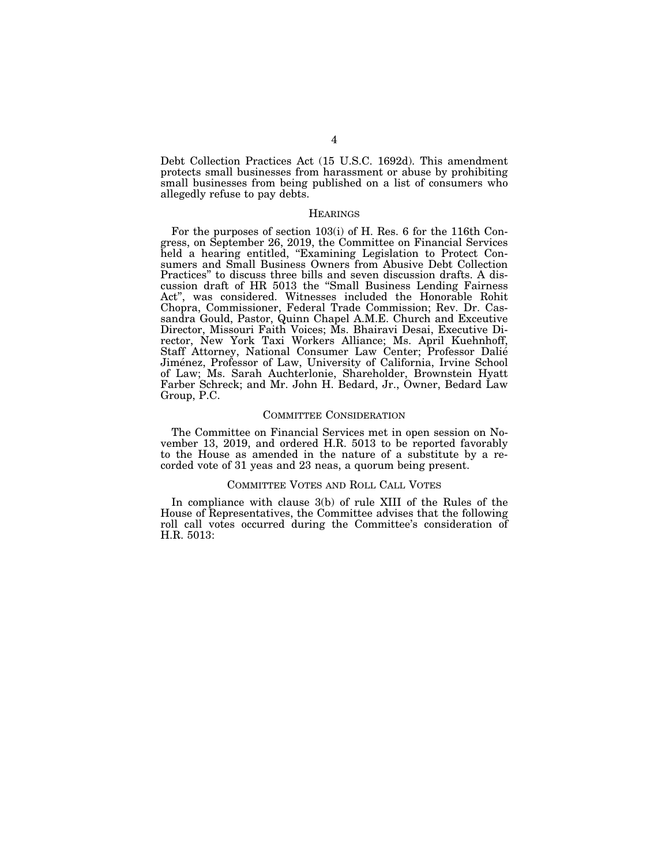Debt Collection Practices Act (15 U.S.C. 1692d). This amendment protects small businesses from harassment or abuse by prohibiting small businesses from being published on a list of consumers who allegedly refuse to pay debts.

## **HEARINGS**

For the purposes of section 103(i) of H. Res. 6 for the 116th Congress, on September 26, 2019, the Committee on Financial Services held a hearing entitled, ''Examining Legislation to Protect Consumers and Small Business Owners from Abusive Debt Collection Practices'' to discuss three bills and seven discussion drafts. A discussion draft of HR 5013 the ''Small Business Lending Fairness Act'', was considered. Witnesses included the Honorable Rohit Chopra, Commissioner, Federal Trade Commission; Rev. Dr. Cassandra Gould, Pastor, Quinn Chapel A.M.E. Church and Exceutive Director, Missouri Faith Voices; Ms. Bhairavi Desai, Executive Director, New York Taxi Workers Alliance; Ms. April Kuehnhoff, Staff Attorney, National Consumer Law Center; Professor Dalie´ Jiménez, Professor of Law, University of California, Irvine School of Law; Ms. Sarah Auchterlonie, Shareholder, Brownstein Hyatt Farber Schreck; and Mr. John H. Bedard, Jr., Owner, Bedard Law Group, P.C.

#### COMMITTEE CONSIDERATION

The Committee on Financial Services met in open session on November 13, 2019, and ordered H.R. 5013 to be reported favorably to the House as amended in the nature of a substitute by a recorded vote of 31 yeas and 23 neas, a quorum being present.

#### COMMITTEE VOTES AND ROLL CALL VOTES

In compliance with clause 3(b) of rule XIII of the Rules of the House of Representatives, the Committee advises that the following roll call votes occurred during the Committee's consideration of H.R. 5013: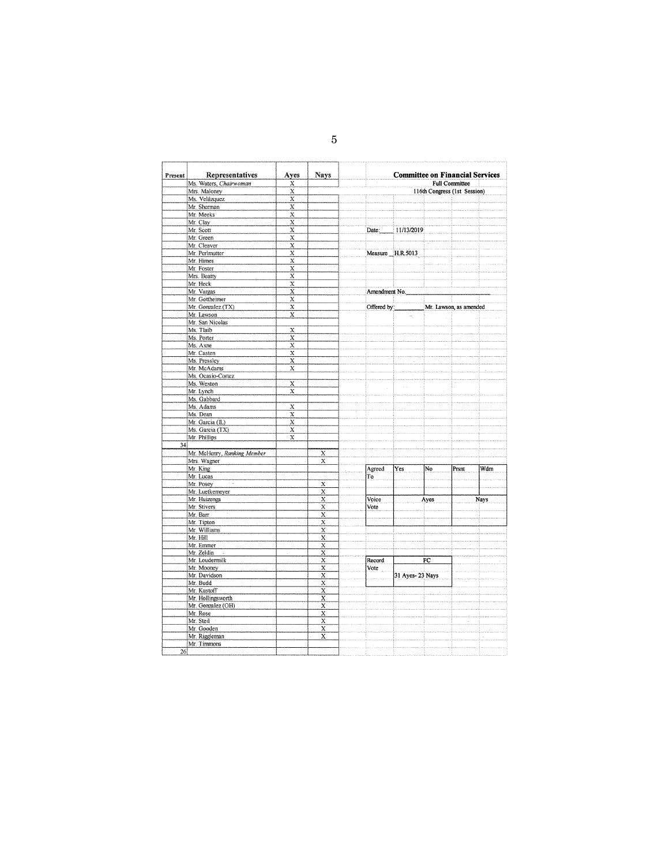| Present | Representatives              | Ayes                    | <b>Nays</b>             | <b>Committee on Financial Services</b> |                  |      |                        |      |  |
|---------|------------------------------|-------------------------|-------------------------|----------------------------------------|------------------|------|------------------------|------|--|
|         | Ms. Waters, Chairwoman       | X<br>X                  |                         | <b>Full Committee</b>                  |                  |      |                        |      |  |
|         | Mrs. Maloney                 |                         |                         | 116th Congress (1st Session)           |                  |      |                        |      |  |
|         | Ms. Velázquez                | х                       |                         |                                        |                  |      |                        |      |  |
|         | Mr. Sherman                  | X                       |                         |                                        |                  |      |                        |      |  |
|         | Mr. Meeks                    | X                       |                         |                                        |                  |      |                        |      |  |
|         | Mr. Clay                     | X                       |                         |                                        |                  |      |                        |      |  |
|         | Mr. Scott                    | X                       |                         | Date:                                  | 11/13/2019       |      |                        |      |  |
|         | Mr. Green                    | X                       |                         |                                        |                  |      |                        |      |  |
|         | Mr. Cleaver                  | X                       |                         |                                        |                  |      |                        |      |  |
|         | Mr. Perlmutter               | x                       |                         |                                        | Measure H.R.5013 |      |                        |      |  |
|         | Mr. Himes                    | $\overline{\mathbf{x}}$ |                         |                                        |                  |      |                        |      |  |
|         | Mr. Foster                   | X                       |                         |                                        |                  |      |                        |      |  |
|         | Mrs. Beatty                  | $\overline{\mathbf{x}}$ |                         |                                        |                  |      |                        |      |  |
|         | Mr. Heck                     | X                       |                         |                                        |                  |      |                        |      |  |
|         | Mr. Vargas                   | X                       |                         | Amendment No.                          |                  |      |                        |      |  |
|         | Mr. Gottheimer               | X                       |                         |                                        |                  |      |                        |      |  |
|         | Mr. Gonzalez (TX)            | X                       |                         | Offered by:                            |                  |      | Mr. Lawson, as amended |      |  |
|         | Mr. Lawson                   | X                       |                         |                                        |                  |      |                        |      |  |
|         | Mr. San Nicolas              |                         |                         |                                        |                  |      |                        |      |  |
|         | Ms. Tlaib                    | Χ                       |                         |                                        |                  |      |                        |      |  |
|         | Ms. Porter                   | X                       |                         |                                        |                  |      |                        |      |  |
|         | Ms. Axne                     | x                       |                         |                                        |                  |      |                        |      |  |
|         | Mr. Casten                   | X                       |                         |                                        |                  |      |                        |      |  |
|         | Ms. Pressley                 | $\dot{x}$               |                         |                                        |                  |      |                        |      |  |
|         | Mr. McAdams                  | $\overline{\mathbf{x}}$ |                         |                                        |                  |      |                        |      |  |
|         | Ms. Ocasio-Cortez            |                         |                         |                                        |                  |      |                        |      |  |
|         | Ms. Wexton                   | X                       |                         |                                        |                  |      |                        |      |  |
|         | Mr. Lynch                    | X                       |                         |                                        |                  |      |                        |      |  |
|         | Ms. Gabbard                  |                         |                         |                                        |                  |      |                        |      |  |
|         | Ms. Adams                    | Ä                       |                         |                                        |                  |      |                        |      |  |
|         | Ms. Dean                     | X                       |                         |                                        |                  |      |                        |      |  |
|         | Mr. Garcia (IL)              | Х                       |                         |                                        |                  |      |                        |      |  |
|         | Ms. Garcia (TX)              | X                       |                         |                                        |                  |      |                        |      |  |
|         | Mr. Phillips                 | X                       |                         |                                        |                  |      |                        |      |  |
| 34      |                              |                         |                         |                                        |                  |      |                        |      |  |
|         | Mr. McHenry, Ranking Member  |                         | X                       |                                        |                  |      |                        |      |  |
|         | Mrs. Wagner                  |                         | X                       |                                        |                  |      |                        |      |  |
|         |                              |                         |                         |                                        |                  |      |                        | Wdm  |  |
|         | Mr. King                     |                         |                         | Agreed                                 | Yes              | No   | Prsnt                  |      |  |
|         | Mr. Lucas                    |                         |                         | Tо                                     |                  |      |                        |      |  |
|         | Mr. Posey                    |                         | X                       |                                        |                  |      |                        |      |  |
|         | Mr. Luetkemeyer              |                         | X                       |                                        |                  |      |                        |      |  |
|         | Mr. Huizenga                 |                         | X                       | Voice                                  |                  | Ayes |                        | Nays |  |
|         | Mr. Stivers                  |                         | $\overline{X}$          | Vote                                   |                  |      |                        |      |  |
|         | Mr. Barr                     |                         | X                       |                                        |                  |      |                        |      |  |
|         | Mr. Tipton                   |                         | $\overline{\mathbf{x}}$ |                                        |                  |      |                        |      |  |
|         | Mr. Williams                 |                         | X                       |                                        |                  |      |                        |      |  |
|         | Mr. Hill                     |                         | х                       |                                        |                  |      |                        |      |  |
|         | Mr. Emmer                    |                         | X                       |                                        |                  |      |                        |      |  |
|         | Mr. Zeldin                   |                         | X                       |                                        |                  |      |                        |      |  |
|         | Mr. Loudermilk               |                         | X                       | Record                                 |                  | FC   |                        |      |  |
|         | Mr. Mooney                   |                         | X                       | Vote                                   |                  |      |                        |      |  |
|         | Mr. Davidson                 |                         | X                       |                                        | 31 Ayes-23 Nays  |      |                        |      |  |
|         | Mr. Budd                     |                         | X                       |                                        |                  |      |                        |      |  |
|         | Mr. Kustoff                  |                         | x                       |                                        |                  |      |                        |      |  |
|         | Mr. Hollingsworth            |                         | $\overline{\mathbf{x}}$ |                                        |                  |      |                        |      |  |
|         | Mr. Gonzalez (OH)            |                         | X                       |                                        |                  |      |                        |      |  |
|         | Mr. Rose                     |                         | X                       |                                        |                  |      |                        |      |  |
|         | Mr. Steil                    |                         | X                       |                                        |                  |      |                        |      |  |
|         | Mr. Gooden                   |                         | X                       |                                        |                  |      |                        |      |  |
|         | Mr. Riggleman<br>Mr. Timmons |                         | X                       |                                        |                  |      |                        |      |  |
|         |                              |                         |                         |                                        |                  |      |                        |      |  |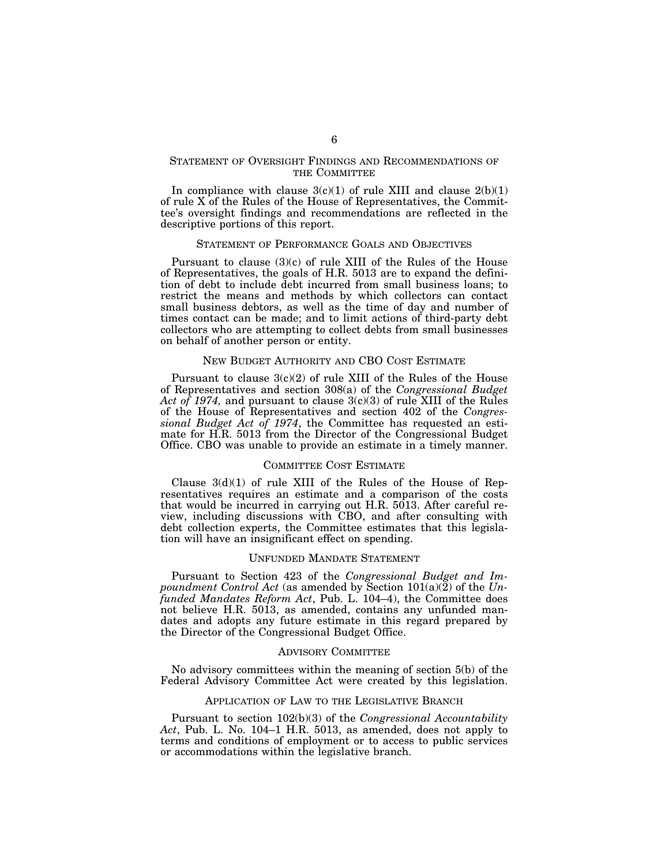## STATEMENT OF OVERSIGHT FINDINGS AND RECOMMENDATIONS OF THE COMMITTEE

In compliance with clause  $3(c)(1)$  of rule XIII and clause  $2(b)(1)$ of rule X of the Rules of the House of Representatives, the Committee's oversight findings and recommendations are reflected in the descriptive portions of this report.

#### STATEMENT OF PERFORMANCE GOALS AND OBJECTIVES

Pursuant to clause  $(3)(c)$  of rule XIII of the Rules of the House of Representatives, the goals of H.R. 5013 are to expand the definition of debt to include debt incurred from small business loans; to restrict the means and methods by which collectors can contact small business debtors, as well as the time of day and number of times contact can be made; and to limit actions of third-party debt collectors who are attempting to collect debts from small businesses on behalf of another person or entity.

## NEW BUDGET AUTHORITY AND CBO COST ESTIMATE

Pursuant to clause  $3(c)(2)$  of rule XIII of the Rules of the House of Representatives and section 308(a) of the *Congressional Budget Act of 1974,* and pursuant to clause 3(c)(3) of rule XIII of the Rules of the House of Representatives and section 402 of the *Congressional Budget Act of 1974*, the Committee has requested an estimate for H.R. 5013 from the Director of the Congressional Budget Office. CBO was unable to provide an estimate in a timely manner.

### COMMITTEE COST ESTIMATE

Clause  $3(d)(1)$  of rule XIII of the Rules of the House of Representatives requires an estimate and a comparison of the costs that would be incurred in carrying out H.R. 5013. After careful review, including discussions with CBO, and after consulting with debt collection experts, the Committee estimates that this legislation will have an insignificant effect on spending.

### UNFUNDED MANDATE STATEMENT

Pursuant to Section 423 of the *Congressional Budget and Impoundment Control Act* (as amended by Section 101(a)(2) of the *Unfunded Mandates Reform Act*, Pub. L. 104–4), the Committee does not believe H.R. 5013, as amended, contains any unfunded mandates and adopts any future estimate in this regard prepared by the Director of the Congressional Budget Office.

#### ADVISORY COMMITTEE

No advisory committees within the meaning of section 5(b) of the Federal Advisory Committee Act were created by this legislation.

#### APPLICATION OF LAW TO THE LEGISLATIVE BRANCH

Pursuant to section 102(b)(3) of the *Congressional Accountability Act*, Pub. L. No. 104–1 H.R. 5013, as amended, does not apply to terms and conditions of employment or to access to public services or accommodations within the legislative branch.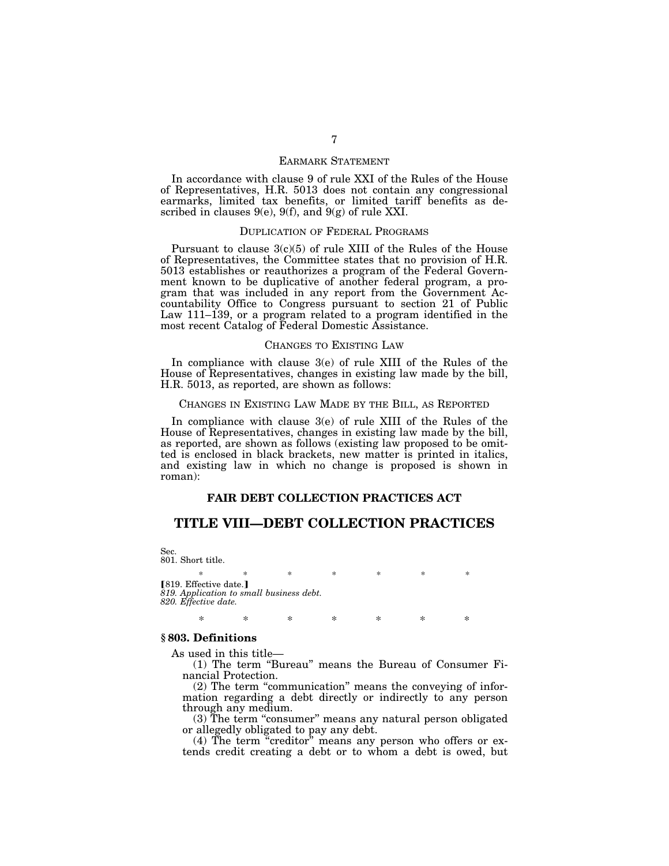### EARMARK STATEMENT

In accordance with clause 9 of rule XXI of the Rules of the House of Representatives, H.R. 5013 does not contain any congressional earmarks, limited tax benefits, or limited tariff benefits as described in clauses  $9(e)$ ,  $9(f)$ , and  $9(g)$  of rule XXI.

### DUPLICATION OF FEDERAL PROGRAMS

Pursuant to clause  $3(c)(5)$  of rule XIII of the Rules of the House of Representatives, the Committee states that no provision of H.R. 5013 establishes or reauthorizes a program of the Federal Government known to be duplicative of another federal program, a program that was included in any report from the Government Accountability Office to Congress pursuant to section 21 of Public Law 111–139, or a program related to a program identified in the most recent Catalog of Federal Domestic Assistance.

#### CHANGES TO EXISTING LAW

In compliance with clause 3(e) of rule XIII of the Rules of the House of Representatives, changes in existing law made by the bill, H.R. 5013, as reported, are shown as follows:

### CHANGES IN EXISTING LAW MADE BY THE BILL, AS REPORTED

In compliance with clause 3(e) of rule XIII of the Rules of the House of Representatives, changes in existing law made by the bill, as reported, are shown as follows (existing law proposed to be omitted is enclosed in black brackets, new matter is printed in italics, and existing law in which no change is proposed is shown in roman):

# **FAIR DEBT COLLECTION PRACTICES ACT**

# **TITLE VIII—DEBT COLLECTION PRACTICES**

Sec. 801. Short title. \* \* \* \* \* \* \* \* [819. Effective date.] *819. Application to small business debt. 820. Effective date.* 

\* \* \* \* \* \* \*

# **§ 803. Definitions**

As used in this title—

(1) The term ''Bureau'' means the Bureau of Consumer Financial Protection.

(2) The term ''communication'' means the conveying of information regarding a debt directly or indirectly to any person through any medium.

(3) The term ''consumer'' means any natural person obligated or allegedly obligated to pay any debt.

 $(4)$  The term "creditor" means any person who offers or extends credit creating a debt or to whom a debt is owed, but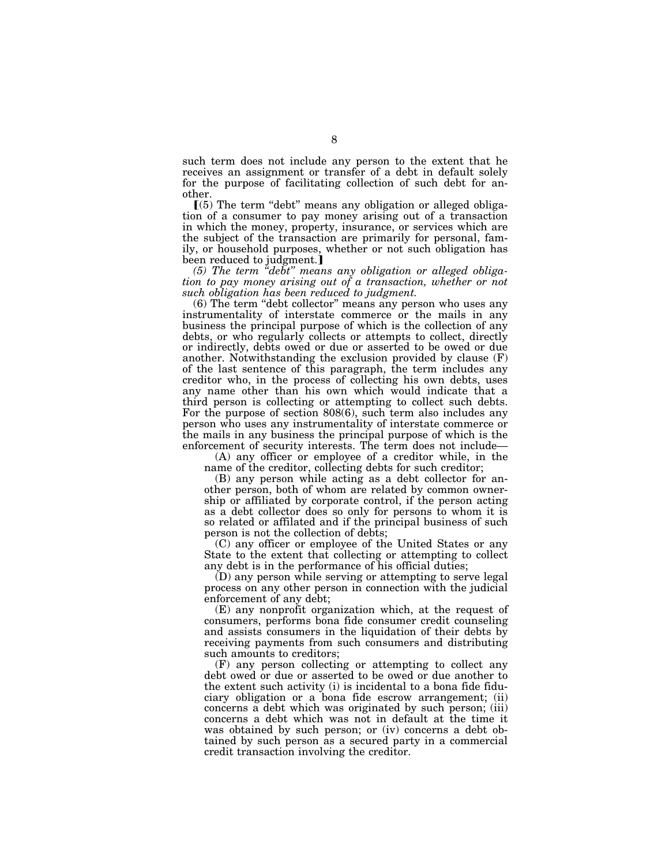such term does not include any person to the extent that he receives an assignment or transfer of a debt in default solely for the purpose of facilitating collection of such debt for another.

 $(5)$  The term "debt" means any obligation or alleged obligation of a consumer to pay money arising out of a transaction in which the money, property, insurance, or services which are the subject of the transaction are primarily for personal, family, or household purposes, whether or not such obligation has<br>been reduced to judgment.]

*(5) The term ''debt'' means any obligation or alleged obligation to pay money arising out of a transaction, whether or not such obligation has been reduced to judgment.* 

(6) The term ''debt collector'' means any person who uses any instrumentality of interstate commerce or the mails in any business the principal purpose of which is the collection of any debts, or who regularly collects or attempts to collect, directly or indirectly, debts owed or due or asserted to be owed or due another. Notwithstanding the exclusion provided by clause (F) of the last sentence of this paragraph, the term includes any creditor who, in the process of collecting his own debts, uses any name other than his own which would indicate that a third person is collecting or attempting to collect such debts. For the purpose of section 808(6), such term also includes any person who uses any instrumentality of interstate commerce or the mails in any business the principal purpose of which is the enforcement of security interests. The term does not include—

(A) any officer or employee of a creditor while, in the name of the creditor, collecting debts for such creditor;

(B) any person while acting as a debt collector for another person, both of whom are related by common ownership or affiliated by corporate control, if the person acting as a debt collector does so only for persons to whom it is so related or affilated and if the principal business of such person is not the collection of debts;

(C) any officer or employee of the United States or any State to the extent that collecting or attempting to collect any debt is in the performance of his official duties;

(D) any person while serving or attempting to serve legal process on any other person in connection with the judicial enforcement of any debt;

(E) any nonprofit organization which, at the request of consumers, performs bona fide consumer credit counseling and assists consumers in the liquidation of their debts by receiving payments from such consumers and distributing such amounts to creditors;

(F) any person collecting or attempting to collect any debt owed or due or asserted to be owed or due another to the extent such activity (i) is incidental to a bona fide fiduciary obligation or a bona fide escrow arrangement; (ii) concerns a debt which was originated by such person; (iii) concerns a debt which was not in default at the time it was obtained by such person; or (iv) concerns a debt obtained by such person as a secured party in a commercial credit transaction involving the creditor.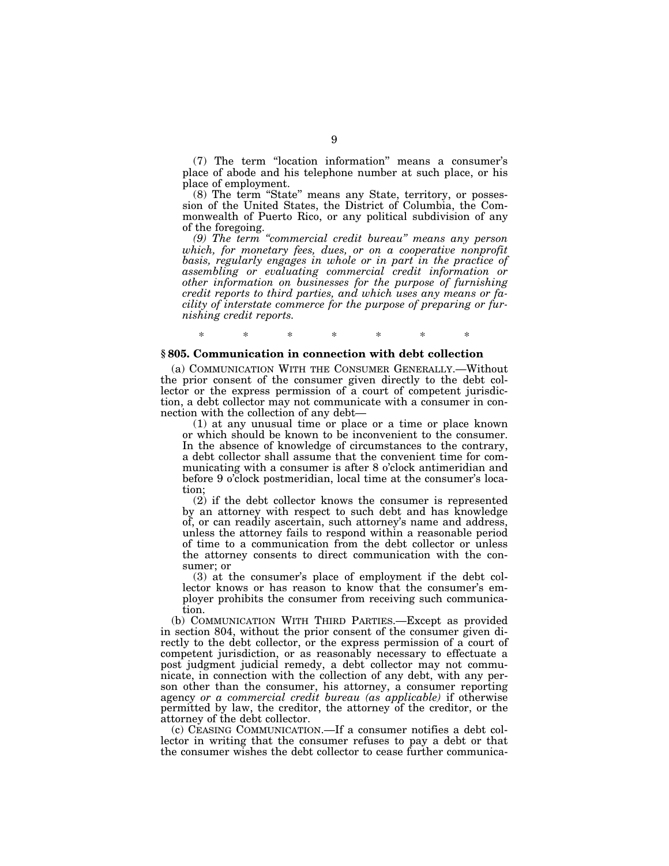(7) The term ''location information'' means a consumer's place of abode and his telephone number at such place, or his place of employment.

(8) The term ''State'' means any State, territory, or possession of the United States, the District of Columbia, the Commonwealth of Puerto Rico, or any political subdivision of any of the foregoing.

*(9) The term ''commercial credit bureau'' means any person which, for monetary fees, dues, or on a cooperative nonprofit*  basis, regularly engages in whole or in part in the practice of *assembling or evaluating commercial credit information or other information on businesses for the purpose of furnishing credit reports to third parties, and which uses any means or facility of interstate commerce for the purpose of preparing or furnishing credit reports.* 

# \* \* \* \* \* \* \*

### **§ 805. Communication in connection with debt collection**

(a) COMMUNICATION WITH THE CONSUMER GENERALLY.—Without the prior consent of the consumer given directly to the debt collector or the express permission of a court of competent jurisdiction, a debt collector may not communicate with a consumer in connection with the collection of any debt—

(1) at any unusual time or place or a time or place known or which should be known to be inconvenient to the consumer. In the absence of knowledge of circumstances to the contrary, a debt collector shall assume that the convenient time for communicating with a consumer is after 8 o'clock antimeridian and before 9 o'clock postmeridian, local time at the consumer's location;

(2) if the debt collector knows the consumer is represented by an attorney with respect to such debt and has knowledge of, or can readily ascertain, such attorney's name and address, unless the attorney fails to respond within a reasonable period of time to a communication from the debt collector or unless the attorney consents to direct communication with the consumer; or

(3) at the consumer's place of employment if the debt collector knows or has reason to know that the consumer's employer prohibits the consumer from receiving such communication.

(b) COMMUNICATION WITH THIRD PARTIES.—Except as provided in section 804, without the prior consent of the consumer given directly to the debt collector, or the express permission of a court of competent jurisdiction, or as reasonably necessary to effectuate a post judgment judicial remedy, a debt collector may not communicate, in connection with the collection of any debt, with any person other than the consumer, his attorney, a consumer reporting agency *or a commercial credit bureau (as applicable)* if otherwise permitted by law, the creditor, the attorney of the creditor, or the attorney of the debt collector.

(c) CEASING COMMUNICATION.—If a consumer notifies a debt collector in writing that the consumer refuses to pay a debt or that the consumer wishes the debt collector to cease further communica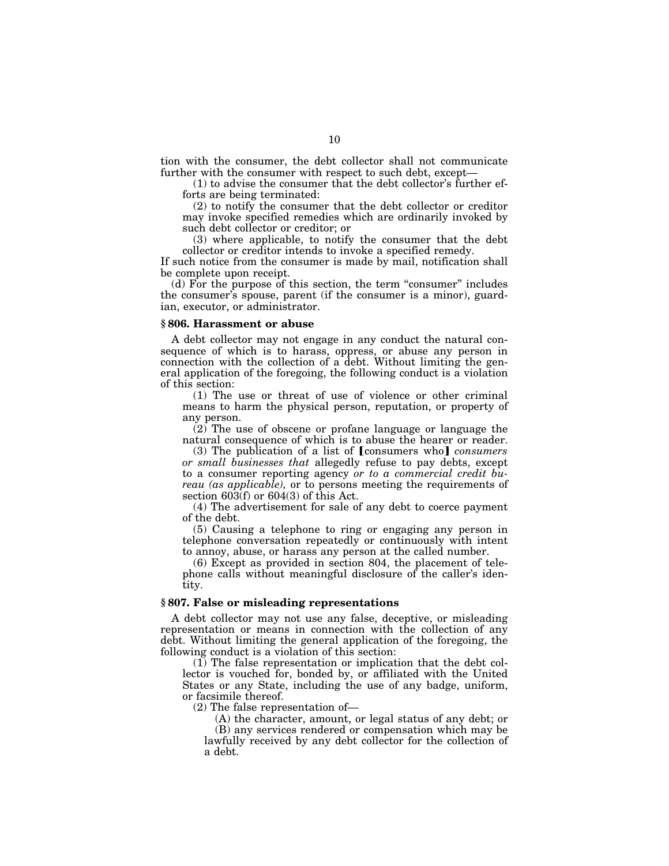tion with the consumer, the debt collector shall not communicate further with the consumer with respect to such debt, except—

(1) to advise the consumer that the debt collector's further efforts are being terminated:

(2) to notify the consumer that the debt collector or creditor may invoke specified remedies which are ordinarily invoked by such debt collector or creditor; or

(3) where applicable, to notify the consumer that the debt collector or creditor intends to invoke a specified remedy.

If such notice from the consumer is made by mail, notification shall be complete upon receipt.

(d) For the purpose of this section, the term ''consumer'' includes the consumer's spouse, parent (if the consumer is a minor), guardian, executor, or administrator.

#### **§ 806. Harassment or abuse**

A debt collector may not engage in any conduct the natural consequence of which is to harass, oppress, or abuse any person in connection with the collection of a debt. Without limiting the general application of the foregoing, the following conduct is a violation of this section:

(1) The use or threat of use of violence or other criminal means to harm the physical person, reputation, or property of any person.

 $(2)$  The use of obscene or profane language or language the natural consequence of which is to abuse the hearer or reader.

(3) The publication of a list of [consumers who] *consumers or small businesses that* allegedly refuse to pay debts, except to a consumer reporting agency *or to a commercial credit bureau (as applicable),* or to persons meeting the requirements of section  $603(f)$  or  $604(3)$  of this Act.

(4) The advertisement for sale of any debt to coerce payment of the debt.

(5) Causing a telephone to ring or engaging any person in telephone conversation repeatedly or continuously with intent to annoy, abuse, or harass any person at the called number.

(6) Except as provided in section 804, the placement of telephone calls without meaningful disclosure of the caller's identity.

### **§ 807. False or misleading representations**

A debt collector may not use any false, deceptive, or misleading representation or means in connection with the collection of any debt. Without limiting the general application of the foregoing, the following conduct is a violation of this section:

(1) The false representation or implication that the debt collector is vouched for, bonded by, or affiliated with the United States or any State, including the use of any badge, uniform, or facsimile thereof.

(2) The false representation of—

(A) the character, amount, or legal status of any debt; or

(B) any services rendered or compensation which may be lawfully received by any debt collector for the collection of a debt.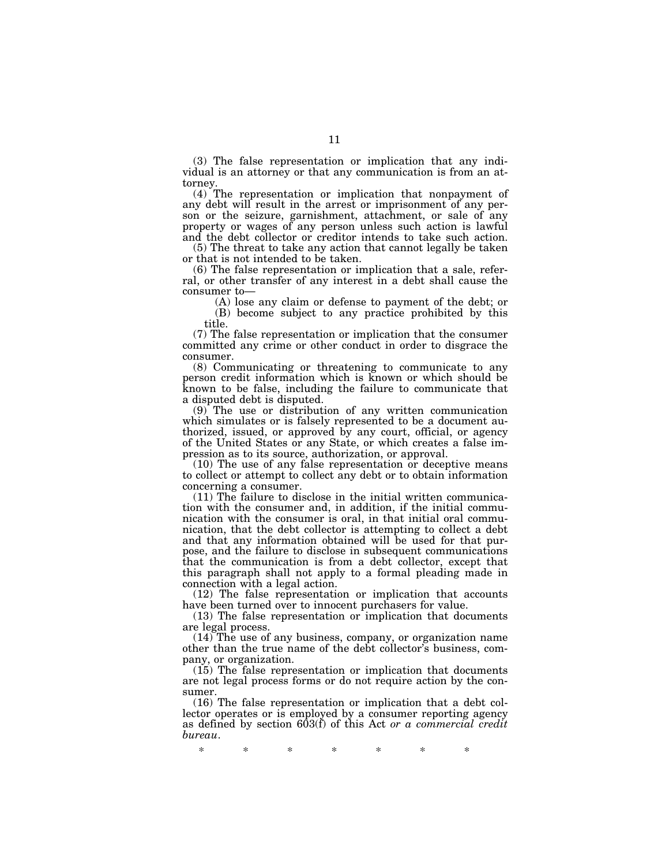(3) The false representation or implication that any individual is an attorney or that any communication is from an attorney

(4) The representation or implication that nonpayment of any debt will result in the arrest or imprisonment of any person or the seizure, garnishment, attachment, or sale of any property or wages of any person unless such action is lawful and the debt collector or creditor intends to take such action.

(5) The threat to take any action that cannot legally be taken or that is not intended to be taken.

(6) The false representation or implication that a sale, referral, or other transfer of any interest in a debt shall cause the consumer to—

(A) lose any claim or defense to payment of the debt; or (B) become subject to any practice prohibited by this title.

(7) The false representation or implication that the consumer committed any crime or other conduct in order to disgrace the consumer.

(8) Communicating or threatening to communicate to any person credit information which is known or which should be known to be false, including the failure to communicate that a disputed debt is disputed.

(9) The use or distribution of any written communication which simulates or is falsely represented to be a document authorized, issued, or approved by any court, official, or agency of the United States or any State, or which creates a false impression as to its source, authorization, or approval.

(10) The use of any false representation or deceptive means to collect or attempt to collect any debt or to obtain information concerning a consumer.

(11) The failure to disclose in the initial written communication with the consumer and, in addition, if the initial communication with the consumer is oral, in that initial oral communication, that the debt collector is attempting to collect a debt and that any information obtained will be used for that purpose, and the failure to disclose in subsequent communications that the communication is from a debt collector, except that this paragraph shall not apply to a formal pleading made in connection with a legal action.

(12) The false representation or implication that accounts have been turned over to innocent purchasers for value.

(13) The false representation or implication that documents are legal process.

(14) The use of any business, company, or organization name other than the true name of the debt collector's business, company, or organization.

(15) The false representation or implication that documents are not legal process forms or do not require action by the consumer.

(16) The false representation or implication that a debt collector operates or is employed by a consumer reporting agency as defined by section 603(f) of this Act *or a commercial credit bureau*.

\* \* \* \* \* \* \*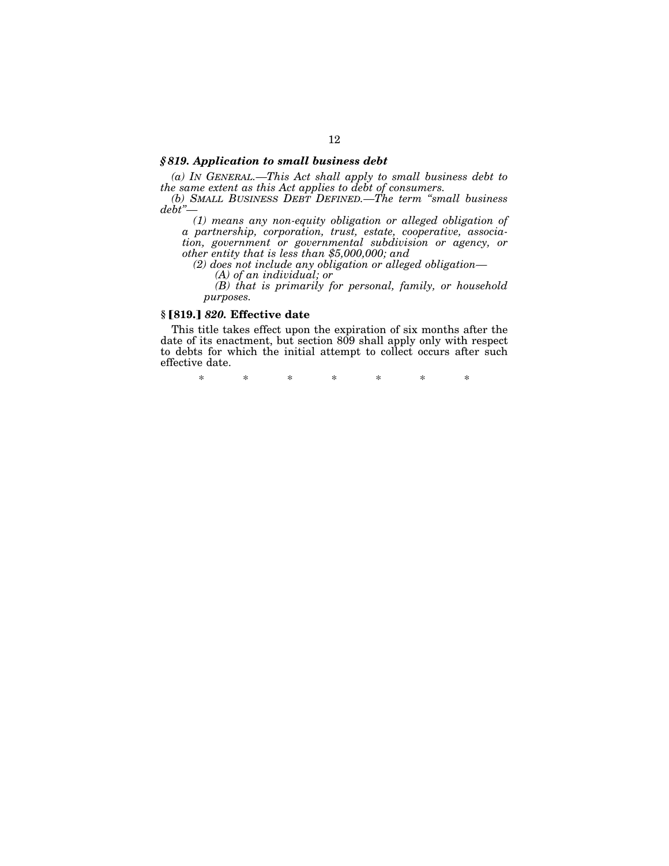# *§ 819. Application to small business debt*

*(a) IN GENERAL.—This Act shall apply to small business debt to the same extent as this Act applies to debt of consumers.* 

*(b) SMALL BUSINESS DEBT DEFINED.—The term ''small business debt''—* 

*(1) means any non-equity obligation or alleged obligation of a partnership, corporation, trust, estate, cooperative, association, government or governmental subdivision or agency, or other entity that is less than \$5,000,000; and* 

*(2) does not include any obligation or alleged obligation—* 

*(A) of an individual; or* 

*(B) that is primarily for personal, family, or household purposes.* 

#### **§** ø**819.**¿ *820.* **Effective date**

This title takes effect upon the expiration of six months after the date of its enactment, but section 809 shall apply only with respect to debts for which the initial attempt to collect occurs after such effective date.

\* \* \* \* \* \* \*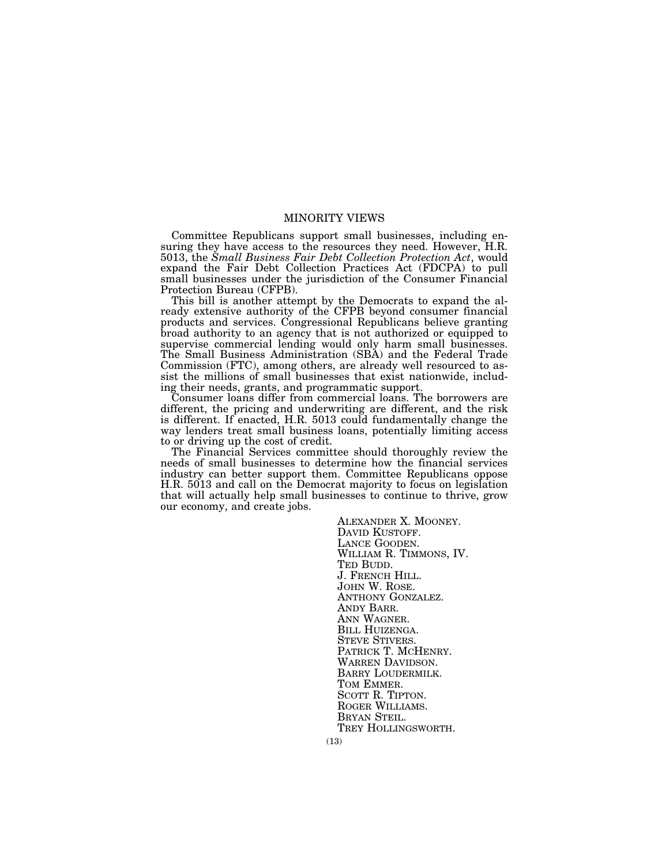# MINORITY VIEWS

Committee Republicans support small businesses, including ensuring they have access to the resources they need. However, H.R. 5013, the *Small Business Fair Debt Collection Protection Act*, would expand the Fair Debt Collection Practices Act (FDCPA) to pull small businesses under the jurisdiction of the Consumer Financial Protection Bureau (CFPB).

This bill is another attempt by the Democrats to expand the already extensive authority of the CFPB beyond consumer financial products and services. Congressional Republicans believe granting broad authority to an agency that is not authorized or equipped to supervise commercial lending would only harm small businesses. The Small Business Administration (SBA) and the Federal Trade Commission (FTC), among others, are already well resourced to assist the millions of small businesses that exist nationwide, including their needs, grants, and programmatic support.

Consumer loans differ from commercial loans. The borrowers are different, the pricing and underwriting are different, and the risk is different. If enacted, H.R. 5013 could fundamentally change the way lenders treat small business loans, potentially limiting access to or driving up the cost of credit.

The Financial Services committee should thoroughly review the needs of small businesses to determine how the financial services industry can better support them. Committee Republicans oppose H.R. 5013 and call on the Democrat majority to focus on legislation that will actually help small businesses to continue to thrive, grow our economy, and create jobs.

> ALEXANDER X. MOONEY.<br>DAVID KUSTOFF.<br>LANCE GOODEN.<br>WILLIAM R. TIMMONS, IV.<br>TED BUDD. TED BUDD.<br>J. French Hill.<br>John W. Rose.<br>Anthony Gonzalez.<br>Andy Barr.<br>Ann Wagner.<br>Bill Huizenga.<br>Steve Stivers.<br>PATRICK T. McHenry.<br>WARREN DAVIDSON.<br>BARRY LOUDERMILK.<br>TOM EMMER.<br>SCOTT R. TIPTON. ROGER WILLIAMS. BRYAN STEIL. TREY HOLLINGSWORTH.